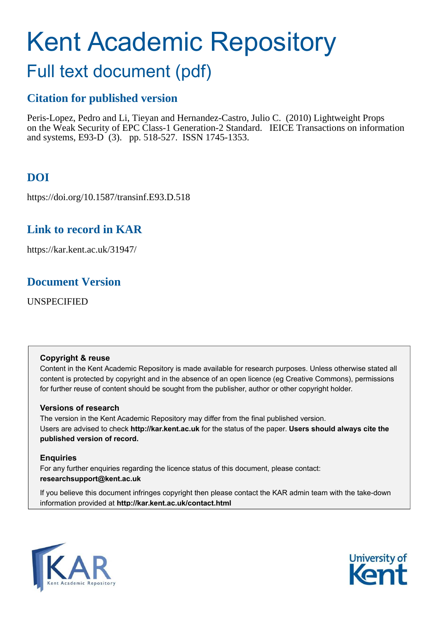# Kent Academic Repository

## Full text document (pdf)

## **Citation for published version**

Peris-Lopez, Pedro and Li, Tieyan and Hernandez-Castro, Julio C. (2010) Lightweight Props on the Weak Security of EPC Class-1 Generation-2 Standard. IEICE Transactions on information and systems, E93-D (3). pp. 518-527. ISSN 1745-1353.

## **DOI**

https://doi.org/10.1587/transinf.E93.D.518

## **Link to record in KAR**

https://kar.kent.ac.uk/31947/

## **Document Version**

UNSPECIFIED

#### **Copyright & reuse**

Content in the Kent Academic Repository is made available for research purposes. Unless otherwise stated all content is protected by copyright and in the absence of an open licence (eg Creative Commons), permissions for further reuse of content should be sought from the publisher, author or other copyright holder.

#### **Versions of research**

The version in the Kent Academic Repository may differ from the final published version. Users are advised to check **http://kar.kent.ac.uk** for the status of the paper. **Users should always cite the published version of record.**

#### **Enquiries**

For any further enquiries regarding the licence status of this document, please contact: **researchsupport@kent.ac.uk**

If you believe this document infringes copyright then please contact the KAR admin team with the take-down information provided at **http://kar.kent.ac.uk/contact.html**



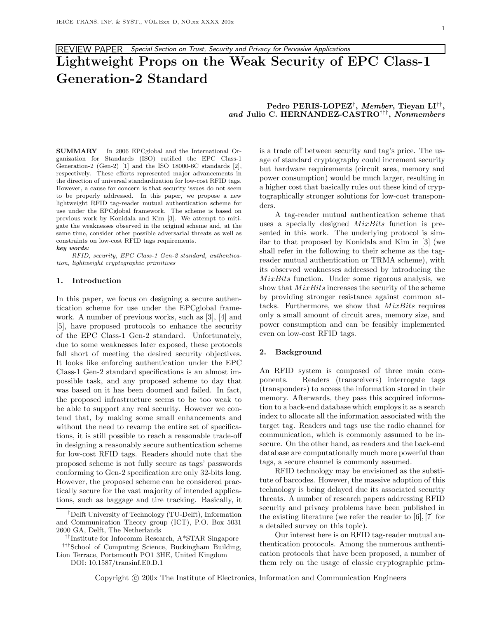### REVIEW PAPER Special Section on Trust, Security and Privacy for Pervasive Applications Lightweight Props on the Weak Security of EPC Class-1 Generation-2 Standard

Pedro PERIS-LOPEZ<sup>†</sup>, *Member*, Tieyan LI<sup>††</sup>, and Julio C. HERNANDEZ-CASTRO††† , Nonmembers

SUMMARY In 2006 EPCglobal and the International Organization for Standards (ISO) ratified the EPC Class-1 Generation-2 (Gen-2) [1] and the ISO 18000-6C standards [2], respectively. These efforts represented major advancements in the direction of universal standardization for low-cost RFID tags. However, a cause for concern is that security issues do not seem to be properly addressed. In this paper, we propose a new lightweight RFID tag-reader mutual authentication scheme for use under the EPCglobal framework. The scheme is based on previous work by Konidala and Kim [3]. We attempt to mitigate the weaknesses observed in the original scheme and, at the same time, consider other possible adversarial threats as well as constraints on low-cost RFID tags requirements.

#### key words:

*RFID, security, EPC Class-1 Gen-2 standard, authentication, lightweight cryptographic primitives*

#### 1. Introduction

In this paper, we focus on designing a secure authentication scheme for use under the EPCglobal framework. A number of previous works, such as [3], [4] and [5], have proposed protocols to enhance the security of the EPC Class-1 Gen-2 standard. Unfortunately, due to some weaknesses later exposed, these protocols fall short of meeting the desired security objectives. It looks like enforcing authentication under the EPC Class-1 Gen-2 standard specifications is an almost impossible task, and any proposed scheme to day that was based on it has been doomed and failed. In fact, the proposed infrastructure seems to be too weak to be able to support any real security. However we contend that, by making some small enhancements and without the need to revamp the entire set of specifications, it is still possible to reach a reasonable trade-off in designing a reasonably secure authentication scheme for low-cost RFID tags. Readers should note that the proposed scheme is not fully secure as tags' passwords conforming to Gen-2 specification are only 32-bits long. However, the proposed scheme can be considered practically secure for the vast majority of intended applications, such as baggage and tire tracking. Basically, it

††Institute for Infocomm Research, A\*STAR Singapore

†††School of Computing Science, Buckingham Building, Lion Terrace, Portsmouth PO1 3HE, United Kingdom DOI: 10.1587/transinf.E0.D.1

is a trade off between security and tag's price. The usage of standard cryptography could increment security but hardware requirements (circuit area, memory and power consumption) would be much larger, resulting in a higher cost that basically rules out these kind of cryptographically stronger solutions for low-cost transponders.

A tag-reader mutual authentication scheme that uses a specially designed MixBits function is presented in this work. The underlying protocol is similar to that proposed by Konidala and Kim in [3] (we shall refer in the following to their scheme as the tagreader mutual authentication or TRMA scheme), with its observed weaknesses addressed by introducing the  $MixBits$  function. Under some rigorous analysis, we show that  $MixBits$  increases the security of the scheme by providing stronger resistance against common attacks. Furthermore, we show that  $MixBits$  requires only a small amount of circuit area, memory size, and power consumption and can be feasibly implemented even on low-cost RFID tags.

#### 2. Background

An RFID system is composed of three main components. Readers (transceivers) interrogate tags (transponders) to access the information stored in their memory. Afterwards, they pass this acquired information to a back-end database which employs it as a search index to allocate all the information associated with the target tag. Readers and tags use the radio channel for communication, which is commonly assumed to be insecure. On the other hand, as readers and the back-end database are computationally much more powerful than tags, a secure channel is commonly assumed.

RFID technology may be envisioned as the substitute of barcodes. However, the massive adoption of this technology is being delayed due its associated security threats. A number of research papers addressing RFID security and privacy problems have been published in the existing literature (we refer the reader to [6], [7] for a detailed survey on this topic).

Our interest here is on RFID tag-reader mutual authentication protocols. Among the numerous authentication protocols that have been proposed, a number of them rely on the usage of classic cryptographic prim-

Copyright (c) 200x The Institute of Electronics, Information and Communication Engineers

<sup>†</sup>Delft University of Technology (TU-Delft), Information and Communication Theory group (ICT), P.O. Box 5031 2600 GA, Delft, The Netherlands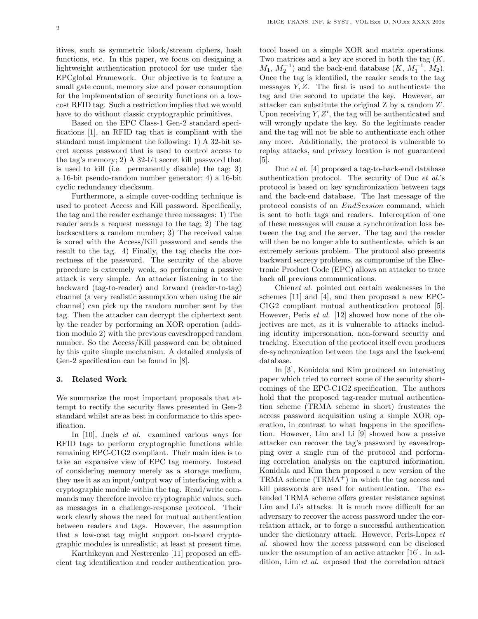itives, such as symmetric block/stream ciphers, hash functions, etc. In this paper, we focus on designing a lightweight authentication protocol for use under the EPCglobal Framework. Our objective is to feature a small gate count, memory size and power consumption for the implementation of security functions on a lowcost RFID tag. Such a restriction implies that we would have to do without classic cryptographic primitives.

Based on the EPC Class-1 Gen-2 standard specifications [1], an RFID tag that is compliant with the standard must implement the following: 1) A 32-bit secret access password that is used to control access to the tag's memory; 2) A 32-bit secret kill password that is used to kill (i.e. permanently disable) the tag; 3) a 16-bit pseudo-random number generator; 4) a 16-bit cyclic redundancy checksum.

Furthermore, a simple cover-codding technique is used to protect Access and Kill password. Specifically, the tag and the reader exchange three messages: 1) The reader sends a request message to the tag; 2) The tag backscatters a random number; 3) The received value is xored with the Access/Kill password and sends the result to the tag. 4) Finally, the tag checks the correctness of the password. The security of the above procedure is extremely weak, so performing a passive attack is very simple. An attacker listening in to the backward (tag-to-reader) and forward (reader-to-tag) channel (a very realistic assumption when using the air channel) can pick up the random number sent by the tag. Then the attacker can decrypt the ciphertext sent by the reader by performing an XOR operation (addition modulo 2) with the previous eavesdropped random number. So the Access/Kill password can be obtained by this quite simple mechanism. A detailed analysis of Gen-2 specification can be found in [8].

#### 3. Related Work

We summarize the most important proposals that attempt to rectify the security flaws presented in Gen-2 standard whilst are as best in conformance to this specification.

In [10], Juels *et al.* examined various ways for RFID tags to perform cryptographic functions while remaining EPC-C1G2 compliant. Their main idea is to take an expansive view of EPC tag memory. Instead of considering memory merely as a storage medium, they use it as an input/output way of interfacing with a cryptographic module within the tag. Read/write commands may therefore involve cryptographic values, such as messages in a challenge-response protocol. Their work clearly shows the need for mutual authentication between readers and tags. However, the assumption that a low-cost tag might support on-board cryptographic modules is unrealistic, at least at present time.

Karthikeyan and Nesterenko [11] proposed an efficient tag identification and reader authentication protocol based on a simple XOR and matrix operations. Two matrices and a key are stored in both the tag  $(K,$  $M_1, M_2^{-1}$  and the back-end database  $(K, M_1^{-1}, M_2)$ . Once the tag is identified, the reader sends to the tag messages  $Y, Z$ . The first is used to authenticate the tag and the second to update the key. However, an attacker can substitute the original Z by a random Z'. Upon receiving  $Y, Z'$ , the tag will be authenticated and will wrongly update the key. So the legitimate reader and the tag will not be able to authenticate each other any more. Additionally, the protocol is vulnerable to replay attacks, and privacy location is not guaranteed  $|5|$ .

Duc *et al.* [4] proposed a tag-to-back-end database authentication protocol. The security of Duc *et al.*'s protocol is based on key synchronization between tags and the back-end database. The last message of the protocol consists of an EndSession command, which is sent to both tags and readers. Interception of one of these messages will cause a synchronization loss between the tag and the server. The tag and the reader will then be no longer able to authenticate, which is an extremely serious problem. The protocol also presents backward secrecy problems, as compromise of the Electronic Product Code (EPC) allows an attacker to trace back all previous communications.

Chien*et al.* pointed out certain weaknesses in the schemes [11] and [4], and then proposed a new EPC-C1G2 compliant mutual authentication protocol [5]. However, Peris *et al.* [12] showed how none of the objectives are met, as it is vulnerable to attacks including identity impersonation, non-forward security and tracking. Execution of the protocol itself even produces de-synchronization between the tags and the back-end database.

In [3], Konidola and Kim produced an interesting paper which tried to correct some of the security shortcomings of the EPC-C1G2 specification. The authors hold that the proposed tag-reader mutual authentication scheme (TRMA scheme in short) frustrates the access password acquisition using a simple XOR operation, in contrast to what happens in the specification. However, Lim and Li [9] showed how a passive attacker can recover the tag's password by eavesdropping over a single run of the protocol and performing correlation analysis on the captured information. Konidala and Kim then proposed a new version of the TRMA scheme (TRMA+) in which the tag access and kill passwords are used for authentication. The extended TRMA scheme offers greater resistance against Lim and Li's attacks. It is much more difficult for an adversary to recover the access password under the correlation attack, or to forge a successful authentication under the dictionary attack. However, Peris-Lopez *et al.* showed how the access password can be disclosed under the assumption of an active attacker [16]. In addition, Lim *et al.* exposed that the correlation attack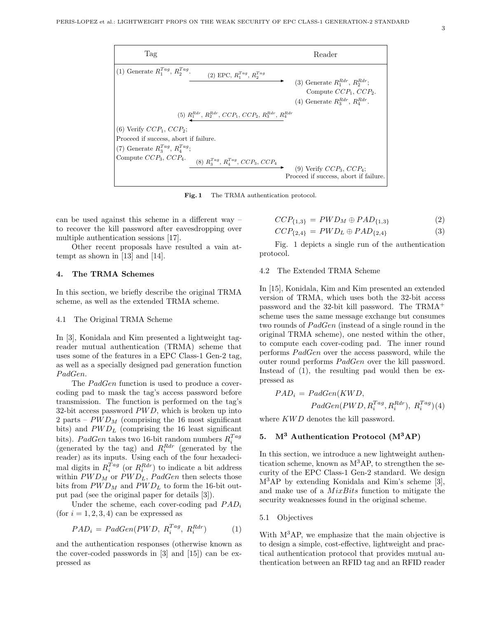

Fig. 1 The TRMA authentication protocol.

can be used against this scheme in a different way – to recover the kill password after eavesdropping over multiple authentication sessions [17].

Other recent proposals have resulted a vain attempt as shown in [13] and [14].

#### 4. The TRMA Schemes

In this section, we briefly describe the original TRMA scheme, as well as the extended TRMA scheme.

#### 4.1 The Original TRMA Scheme

In [3], Konidala and Kim presented a lightweight tagreader mutual authentication (TRMA) scheme that uses some of the features in a EPC Class-1 Gen-2 tag, as well as a specially designed pad generation function PadGen.

The *PadGen* function is used to produce a covercoding pad to mask the tag's access password before transmission. The function is performed on the tag's 32-bit access password  $PWD$ , which is broken up into 2 parts –  $PWD_M$  (comprising the 16 most significant bits) and  $PWD<sub>L</sub>$  (comprising the 16 least significant bits). PadGen takes two 16-bit random numbers  $R_i^{Tag}$ (generated by the tag) and  $R_i^{Rdr}$  (generated by the reader) as its inputs. Using each of the four hexadecimal digits in  $R_i^{Tag}$  (or  $R_i^{Rdr}$ ) to indicate a bit address within  $PWD_M$  or  $PWD_L$ , PadGen then selects those bits from  $PWD_M$  and  $PWD_L$  to form the 16-bit output pad (see the original paper for details [3]).

Under the scheme, each cover-coding pad  $PAD_i$ (for  $i = 1, 2, 3, 4$ ) can be expressed as

$$
PAD_i = PadGen(PWD, R_i^{Tag}, R_i^{Rdr})
$$
 (1)

and the authentication responses (otherwise known as the cover-coded passwords in [3] and [15]) can be expressed as

$$
CCP_{\{1,3\}} = PWD_M \oplus PAD_{\{1,3\}} \tag{2}
$$

$$
CCP_{\{2,4\}} = PWD_L \oplus PAD_{\{2,4\}} \tag{3}
$$

Fig. 1 depicts a single run of the authentication protocol.

#### 4.2 The Extended TRMA Scheme

In [15], Konidala, Kim and Kim presented an extended version of TRMA, which uses both the 32-bit access password and the 32-bit kill password. The TRMA<sup>+</sup> scheme uses the same message exchange but consumes two rounds of PadGen (instead of a single round in the original TRMA scheme), one nested within the other, to compute each cover-coding pad. The inner round performs PadGen over the access password, while the outer round performs PadGen over the kill password. Instead of (1), the resulting pad would then be expressed as

$$
PAD_i = PadGen(KWD, \n
$$
PadGen(PWD, R_i^{Tag}, R_i^{Rdr}), R_i^{Tag})(4)
$$
$$

where  $KWD$  denotes the kill password.

#### 5.  $M^3$  Authentication Protocol ( $M^3AP$ )

In this section, we introduce a new lightweight authentication scheme, known as  $M^3AP$ , to strengthen the security of the EPC Class-1 Gen-2 standard. We design M3AP by extending Konidala and Kim's scheme [3], and make use of a MixBits function to mitigate the security weaknesses found in the original scheme.

#### 5.1 Objectives

With M<sup>3</sup>AP, we emphasize that the main objective is to design a simple, cost-effective, lightweight and practical authentication protocol that provides mutual authentication between an RFID tag and an RFID reader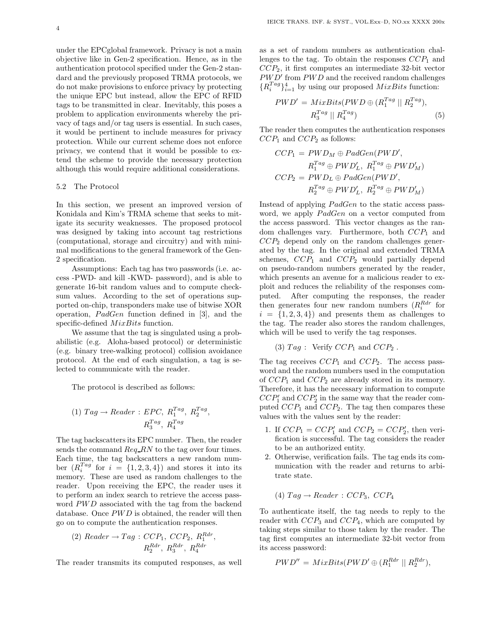under the EPCglobal framework. Privacy is not a main objective like in Gen-2 specification. Hence, as in the authentication protocol specified under the Gen-2 standard and the previously proposed TRMA protocols, we do not make provisions to enforce privacy by protecting the unique EPC but instead, allow the EPC of RFID tags to be transmitted in clear. Inevitably, this poses a problem to application environments whereby the privacy of tags and/or tag users is essential. In such cases, it would be pertinent to include measures for privacy protection. While our current scheme does not enforce privacy, we contend that it would be possible to extend the scheme to provide the necessary protection although this would require additional considerations.

#### 5.2 The Protocol

In this section, we present an improved version of Konidala and Kim's TRMA scheme that seeks to mitigate its security weaknesses. The proposed protocol was designed by taking into account tag restrictions (computational, storage and circuitry) and with minimal modifications to the general framework of the Gen-2 specification.

Assumptions: Each tag has two passwords (i.e. access -PWD- and kill -KWD- password), and is able to generate 16-bit random values and to compute checksum values. According to the set of operations supported on-chip, transponders make use of bitwise XOR operation, PadGen function defined in [3], and the specific-defined  $MixBits$  function.

We assume that the tag is singulated using a probabilistic (e.g. Aloha-based protocol) or deterministic (e.g. binary tree-walking protocol) collision avoidance protocol. At the end of each singulation, a tag is selected to communicate with the reader.

The protocol is described as follows:

$$
(1) \; Tag \to Reader: EPC, \; R_1^{Tag}, \; R_2^{Tag},
$$

$$
R_3^{Tag}, \; R_4^{Tag}
$$

The tag backscatters its EPC number. Then, the reader sends the command  $\text{Re}q$  RN to the tag over four times. Each time, the tag backscatters a new random number  $(R_i^{Tag}$  for  $i = \{1, 2, 3, 4\})$  and stores it into its memory. These are used as random challenges to the reader. Upon receiving the EPC, the reader uses it to perform an index search to retrieve the access password PWD associated with the tag from the backend database. Once PWD is obtained, the reader will then go on to compute the authentication responses.

(2) 
$$
Reader \rightarrow Tag : CCP_1, CCP_2, R_1^{Rdr}, R_2^{Rdr}, R_3^{Rdr}, R_4^{Rdr}
$$

The reader transmits its computed responses, as well

as a set of random numbers as authentication challenges to the tag. To obtain the responses  $CCP_1$  and  $CCP_2$ , it first computes an intermediate 32-bit vector PWD' from PWD and the received random challenges  ${R_i^{Tag}}_{i=1}^4$  by using our proposed  $MixBits$  function:

$$
PWD' = MixBits(PWD \oplus (R_1^{Tag} || R_2^{Tag}),
$$
  

$$
R_3^{Tag} || R_4^{Tag})
$$
 (5)

The reader then computes the authentication responses  $CCP_1$  and  $CCP_2$  as follows:

$$
CCP_1 = PWD_M \oplus PadGen(PWD',
$$
  
\n
$$
R_1^{Tag} \oplus PWD'_L, R_1^{Tag} \oplus PWD'_M)
$$
  
\n
$$
CCP_2 = PWD_L \oplus PadGen(PWD',
$$
  
\n
$$
R_2^{Tag} \oplus PWD'_L, R_2^{Tag} \oplus PWD'_M)
$$

Instead of applying PadGen to the static access password, we apply PadGen on a vector computed from the access password. This vector changes as the random challenges vary. Furthermore, both  $CCP_1$  and  $CCP_2$  depend only on the random challenges generated by the tag. In the original and extended TRMA schemes,  $CCP_1$  and  $CCP_2$  would partially depend on pseudo-random numbers generated by the reader, which presents an avenue for a malicious reader to exploit and reduces the reliability of the responses computed. After computing the responses, the reader then generates four new random numbers  $(R_i^{Rdr}$  for  $i = \{1, 2, 3, 4\}$  and presents them as challenges to the tag. The reader also stores the random challenges, which will be used to verify the tag responses.

(3) 
$$
Tag
$$
: Verify  $CCP_1$  and  $CCP_2$ .

The tag receives  $CCP_1$  and  $CCP_2$ . The access password and the random numbers used in the computation of  $CCP_1$  and  $CCP_2$  are already stored in its memory. Therefore, it has the necessary information to compute  $CCP'_1$  and  $CCP'_2$  in the same way that the reader computed  $CCP_1$  and  $CCP_2$ . The tag then compares these values with the values sent by the reader:

- 1. If  $CCP_1 = CCP'_1$  and  $CCP_2 = CCP'_2$ , then verification is successful. The tag considers the reader to be an authorized entity.
- 2. Otherwise, verification fails. The tag ends its communication with the reader and returns to arbitrate state.

$$
(4) Tag \rightarrow Reader : CCP_3, CCP_4
$$

To authenticate itself, the tag needs to reply to the reader with  $CCP_3$  and  $CCP_4$ , which are computed by taking steps similar to those taken by the reader. The tag first computes an intermediate 32-bit vector from its access password:

$$
PWD'' = MixBits(PWD' \oplus (R_1^{Rdr} || R_2^{Rdr}),
$$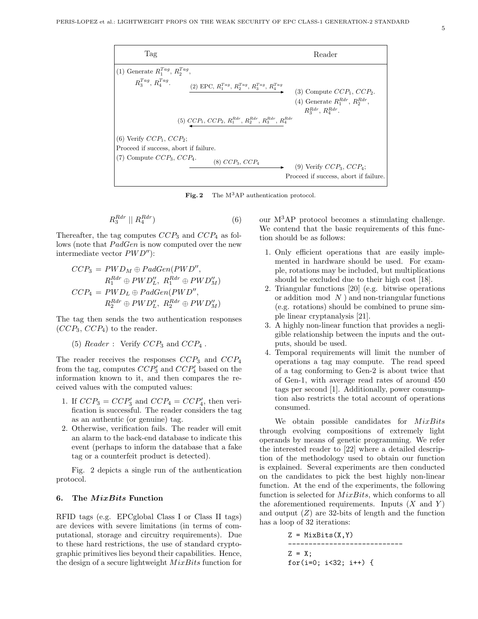

Fig. 2 The M<sup>3</sup>AP authentication protocol.

$$
R_3^{Rdr} \parallel R_4^{Rdr} \tag{6}
$$

Thereafter, the tag computes  $CCP_3$  and  $CCP_4$  as follows (note that  $PadGen$  is now computed over the new intermediate vector PWD′′):

$$
CCP_3 = PWD_M \oplus PadGen(PWD'',\nR_1^{Rdr} \oplus PWD_L'', R_1^{Rdr} \oplus PWD_M'')
$$
\n
$$
CCP_4 = PWD_L \oplus PadGen(PWD'',\nR_2^{Rdr} \oplus PWD_L'', R_2^{Rdr} \oplus PWD_M'')
$$

The tag then sends the two authentication responses  $(CCP_3, CCP_4)$  to the reader.

(5) Reader : Verify  $CCP_3$  and  $CCP_4$ .

The reader receives the responses  $CCP_3$  and  $CCP_4$ from the tag, computes  $CCP'_{3}$  and  $CCP'_{4}$  based on the information known to it, and then compares the received values with the computed values:

- 1. If  $CCP_3 = CCP'_3$  and  $CCP_4 = CCP'_4$ , then verification is successful. The reader considers the tag as an authentic (or genuine) tag.
- 2. Otherwise, verification fails. The reader will emit an alarm to the back-end database to indicate this event (perhaps to inform the database that a fake tag or a counterfeit product is detected).

Fig. 2 depicts a single run of the authentication protocol.

#### 6. The MixBits Function

RFID tags (e.g. EPCglobal Class I or Class II tags) are devices with severe limitations (in terms of computational, storage and circuitry requirements). Due to these hard restrictions, the use of standard cryptographic primitives lies beyond their capabilities. Hence, the design of a secure lightweight MixBits function for

our  $M^3AP$  protocol becomes a stimulating challenge. We contend that the basic requirements of this function should be as follows:

- 1. Only efficient operations that are easily implemented in hardware should be used. For example, rotations may be included, but multiplications should be excluded due to their high cost [18].
- 2. Triangular functions [20] (e.g. bitwise operations or addition mod  $N$  ) and non-triangular functions (e.g. rotations) should be combined to prune simple linear cryptanalysis [21].
- 3. A highly non-linear function that provides a negligible relationship between the inputs and the outputs, should be used.
- 4. Temporal requirements will limit the number of operations a tag may compute. The read speed of a tag conforming to Gen-2 is about twice that of Gen-1, with average read rates of around 450 tags per second [1]. Additionally, power consumption also restricts the total account of operations consumed.

We obtain possible candidates for MixBits through evolving compositions of extremely light operands by means of genetic programming. We refer the interested reader to [22] where a detailed description of the methodology used to obtain our function is explained. Several experiments are then conducted on the candidates to pick the best highly non-linear function. At the end of the experiments, the following function is selected for  $MixBits$ , which conforms to all the aforementioned requirements. Inputs  $(X \text{ and } Y)$ and output  $(Z)$  are 32-bits of length and the function has a loop of 32 iterations:

```
Z = MixBits(X, Y)----------------------------
Z = X:
for(i=0; i<32; i++) {
```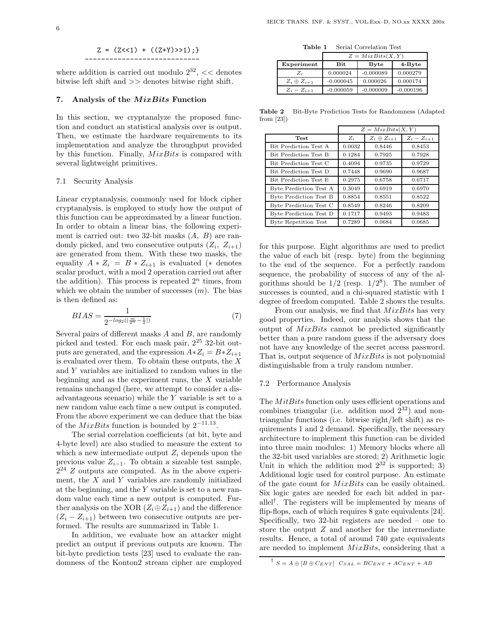#### $Z = (Z<<1) + ((Z+Y)>>1);$ ----------------------------

where addition is carried out modulo  $2^{32}$ ,  $<<$  denotes bitwise left shift and >> denotes bitwise right shift.

#### 7. Analysis of the  $MixBits$  Function

In this section, we cryptanalyze the proposed function and conduct an statistical analysis over is output. Then, we estimate the hardware requirements to its implementation and analyze the throughput provided by this function. Finally, MixBits is compared with several lightweight primitives.

#### 7.1 Security Analysis

Linear cryptanalysis, commonly used for block cipher cryptanalysis, is employed to study how the output of this function can be approximated by a linear function. In order to obtain a linear bias, the following experiment is carried out: two 32-bit masks  $(A, B)$  are randomly picked, and two consecutive outputs  $(Z_i, Z_{i+1})$ are generated from them. With these two masks, the equality  $A * Z_i = B * Z_{i+1}$  is evaluated (\* denotes scalar product, with a mod 2 operation carried out after the addition). This process is repeated  $2<sup>n</sup>$  times, from which we obtain the number of successes  $(m)$ . The bias is then defined as:

$$
BIAS = \frac{1}{2^{-\log_2(\lfloor \frac{m}{2^n} - \frac{1}{2} \rfloor)}}\tag{7}
$$

Several pairs of different masks A and B, are randomly picked and tested. For each mask pair,  $2^{25}$  32-bit outputs are generated, and the expression  $A * Z_i = B * Z_{i+1}$ is evaluated over them. To obtain these outputs, the  $X$ and Y variables are initialized to random values in the beginning and as the experiment runs, the  $X$  variable remains unchanged (here, we attempt to consider a disadvantageous scenario) while the Y variable is set to a new random value each time a new output is computed. From the above experiment we can deduce that the bias of the  $MixBits$  function is bounded by  $2^{-11.13}$ .

The serial correlation coefficients (at bit, byte and 4-byte level) are also studied to measure the extent to which a new intermediate output  $Z_i$  depends upon the previous value  $Z_{i-1}$ . To obtain a sizeable test sample,  $2^{24}$  Z outputs are computed. As in the above experiment, the  $X$  and  $Y$  variables are randomly initialized at the beginning, and the Y variable is set to a new random value each time a new output is computed. Further analysis on the XOR  $(Z_i \oplus Z_{i+1})$  and the difference  $(Z_i - Z_{i+1})$  between two consecutive outputs are performed. The results are summarized in Table 1.

In addition, we evaluate how an attacker might predict an output if previous outputs are known. The bit-byte prediction tests [23] used to evaluate the randomness of the Konton2 stream cipher are employed

Table 1 Serial Correlation Test

|                      | $Z = MixBits(X, Y)$ |             |             |  |  |
|----------------------|---------------------|-------------|-------------|--|--|
| Experiment           | Bit                 | <b>Byte</b> | $4 - B$ yte |  |  |
| $Z_i$                | 0.000024            | $-0.000089$ | 0.000279    |  |  |
| $Z_i \oplus Z_{i+1}$ | $-0.000045$         | 0.000026    | 0.000174    |  |  |
| $Z_i - Z_{i+1}$      | $-0.000059$         | $-0.000009$ | $-0.000196$ |  |  |

Table 2 Bit-Byte Prediction Tests for Randomness (Adapted from [23])

|                               | $Z = MixBits(X, Y)$ |                      |                 |
|-------------------------------|---------------------|----------------------|-----------------|
| <b>Test</b>                   | $Z_i$               | $Z_i \oplus Z_{i+1}$ | $Z_i - Z_{i+1}$ |
| <b>Bit Prediction Test A</b>  | 0.0032              | 0.8446               | 0.8453          |
| <b>Bit Prediction Test B</b>  | 0.1284              | 0.7925               | 0.7928          |
| Bit Prediction Test C         | 0.4094              | 0.9735               | 0.9729          |
| <b>Bit Prediction Test D</b>  | 0.7448              | 0.9690               | 0.9687          |
| Bit Prediction Test E         | 0.2975              | 0.6758               | 0.6717          |
| Byte Prediction Test A        | 0.3049              | 0.6919               | 0.6970          |
| Byte Prediction Test B        | 0.8854              | 0.8551               | 0.8522          |
| Byte Prediction Test C        | 0.8549              | 0.8246               | 0.8209          |
| <b>Byte Prediction Test D</b> | 0.1717              | 0.9493               | 0.9483          |
| <b>Byte Repetition Test</b>   | 0.7289              | 0.0684               | 0.0685          |

for this purpose. Eight algorithms are used to predict the value of each bit (resp. byte) from the beginning to the end of the sequence. For a perfectly random sequence, the probability of success of any of the algorithms should be  $1/2$  (resp.  $1/2^8$ ). The number of successes is counted, and a chi-squared statistic with 1 degree of freedom computed. Table 2 shows the results.

From our analysis, we find that  $MixBits$  has very good properties. Indeed, our analysis shows that the output of MixBits cannot be predicted significantly better than a pure random guess if the adversary does not have any knowledge of the secret access password. That is, output sequence of  $MixBits$  is not polynomial distinguishable from a truly random number.

#### 7.2 Performance Analysis

The *MitBits* function only uses efficient operations and combines triangular (i.e. addition mod  $2^{32}$ ) and nontriangular functions (i.e. bitwise right/left shift) as requirements 1 and 2 demand. Specifically, the necessary architecture to implement this function can be divided into three main modules: 1) Memory blocks where all the 32-bit used variables are stored; 2) Arithmetic logic Unit in which the addition mod  $2^{32}$  is supported; 3) Additional logic used for control purpose. An estimate of the gate count for MixBits can be easily obtained. Six logic gates are needed for each bit added in parallel† . The registers will be implemented by means of flip-flops, each of which requires 8 gate equivalents [24]. Specifically, two 32-bit registers are needed – one to store the output Z and another for the intermediate results. Hence, a total of around 740 gate equivalents are needed to implement MixBits, considering that a

<sup>&</sup>lt;sup>†</sup>  $S = A \oplus [B \oplus C_{ENT}]$   $C_{SAL} = BC_{ENT} + AC_{ENT} + AB$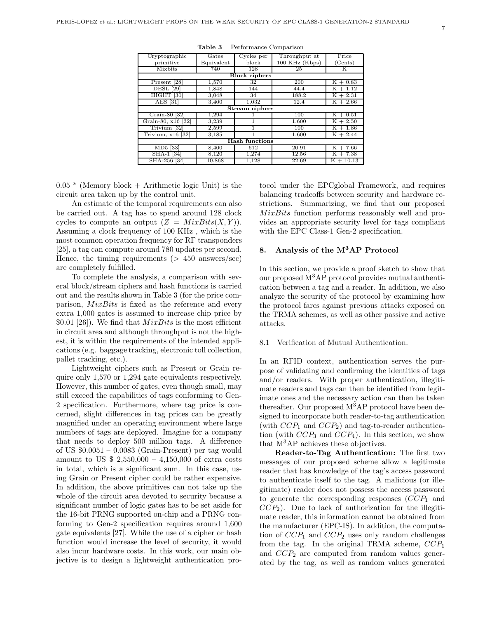| Cryptographic              | Gates      | Cycles per | Throughput at      | Price       |  |  |  |
|----------------------------|------------|------------|--------------------|-------------|--|--|--|
| primitive                  | Equivalent | block      | 100 KHz (Kbps)     | (Cents)     |  |  |  |
| Mixbits                    | 740        | 128        | 25                 | Κ           |  |  |  |
| <b>Block</b> ciphers       |            |            |                    |             |  |  |  |
| 281<br>Present             | 1,570      | 32         | 200                | $K + 0.83$  |  |  |  |
| <b>DESL</b> [29]           | 1,848      | 144        | 44.4               | $K + 1.12$  |  |  |  |
| HIGHT<br>$\left[30\right]$ | 3,048      | 34         | 188.2              | $K + 2.31$  |  |  |  |
| AES<br>$\left[31\right]$   | 3,400      | 1,032      | 12.4               | $K + 2.66$  |  |  |  |
| Stream ciphers             |            |            |                    |             |  |  |  |
| Grain-80 [32]              | 1,294      |            | 100                | $K + 0.51$  |  |  |  |
| Grain-80, x16 [32]         | 3,239      |            | 1,600              | $K + 2.50$  |  |  |  |
| Trivium [32]               | 2,599      |            | 100                | $K + 1.86$  |  |  |  |
| Trivium, $x16$ [32]        | 3,185      |            | 1,600              | $K + 2.44$  |  |  |  |
| <b>Hash functions</b>      |            |            |                    |             |  |  |  |
| MD5 [33]                   | 8,400      | 612        | $\overline{20.91}$ | $K + 7.66$  |  |  |  |
| SHA-1 [34]                 | 8,120      | 1,274      | 12.56              | $K + 7.38$  |  |  |  |
| <b>SHA-256</b><br>[34]     | 10.868     | 1,128      | 22.69              | $K + 10.13$ |  |  |  |

Table 3 Performance Comparison

 $0.05 *$  (Memory block + Arithmetic logic Unit) is the circuit area taken up by the control unit.

An estimate of the temporal requirements can also be carried out. A tag has to spend around 128 clock cycles to compute an output  $(Z = MixBits(X, Y)).$ Assuming a clock frequency of 100 KHz , which is the most common operation frequency for RF transponders [25], a tag can compute around 780 updates per second. Hence, the timing requirements  $(> 450$  answers/sec) are completely fulfilled.

To complete the analysis, a comparison with several block/stream ciphers and hash functions is carried out and the results shown in Table 3 (for the price comparison,  $MixBits$  is fixed as the reference and every extra 1,000 gates is assumed to increase chip price by \$0.01 [26]). We find that  $MixBits$  is the most efficient in circuit area and although throughput is not the highest, it is within the requirements of the intended applications (e.g. baggage tracking, electronic toll collection, pallet tracking, etc.).

Lightweight ciphers such as Present or Grain require only 1,570 or 1,294 gate equivalents respectively. However, this number of gates, even though small, may still exceed the capabilities of tags conforming to Gen-2 specification. Furthermore, where tag price is concerned, slight differences in tag prices can be greatly magnified under an operating environment where large numbers of tags are deployed. Imagine for a company that needs to deploy 500 million tags. A difference of US \$0.0051 – 0.0083 (Grain-Present) per tag would amount to US \$ 2,550,000 – 4,150,000 of extra costs in total, which is a significant sum. In this case, using Grain or Present cipher could be rather expensive. In addition, the above primitives can not take up the whole of the circuit area devoted to security because a significant number of logic gates has to be set aside for the 16-bit PRNG supported on-chip and a PRNG conforming to Gen-2 specification requires around 1,600 gate equivalents [27]. While the use of a cipher or hash function would increase the level of security, it would also incur hardware costs. In this work, our main objective is to design a lightweight authentication protocol under the EPCglobal Framework, and requires balancing tradeoffs between security and hardware restrictions. Summarizing, we find that our proposed MixBits function performs reasonably well and provides an appropriate security level for tags compliant with the EPC Class-1 Gen-2 specification.

#### 8. Analysis of the  $M^3AP$  Protocol

In this section, we provide a proof sketch to show that our proposed M<sup>3</sup>AP protocol provides mutual authentication between a tag and a reader. In addition, we also analyze the security of the protocol by examining how the protocol fares against previous attacks exposed on the TRMA schemes, as well as other passive and active attacks.

#### 8.1 Verification of Mutual Authentication.

In an RFID context, authentication serves the purpose of validating and confirming the identities of tags and/or readers. With proper authentication, illegitimate readers and tags can then be identified from legitimate ones and the necessary action can then be taken thereafter. Our proposed  $M<sup>3</sup>AP$  protocol have been designed to incorporate both reader-to-tag authentication (with  $CCP_1$  and  $CCP_2$ ) and tag-to-reader authentication (with  $CCP_3$  and  $CCP_4$ ). In this section, we show that  $M^3AP$  achieves these objectives.

Reader-to-Tag Authentication: The first two messages of our proposed scheme allow a legitimate reader that has knowledge of the tag's access password to authenticate itself to the tag. A malicious (or illegitimate) reader does not possess the access password to generate the corresponding responses  $(CCP<sub>1</sub>$  and  $CCP_2$ ). Due to lack of authorization for the illegitimate reader, this information cannot be obtained from the manufacturer (EPC-IS). In addition, the computation of  $CCP_1$  and  $CCP_2$  uses only random challenges from the tag. In the original TRMA scheme,  $CCP_1$ and  $CCP<sub>2</sub>$  are computed from random values generated by the tag, as well as random values generated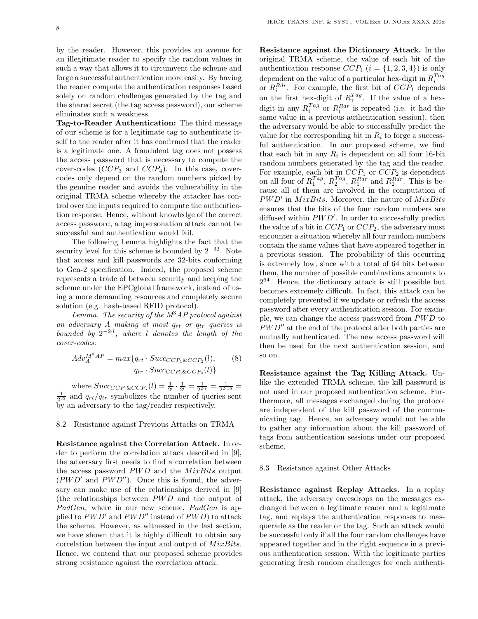by the reader. However, this provides an avenue for an illegitimate reader to specify the random values in such a way that allows it to circumvent the scheme and forge a successful authentication more easily. By having the reader compute the authentication responses based solely on random challenges generated by the tag and the shared secret (the tag access password), our scheme eliminates such a weakness.

Tag-to-Reader Authentication: The third message of our scheme is for a legitimate tag to authenticate itself to the reader after it has confirmed that the reader is a legitimate one. A fraudulent tag does not possess the access password that is necessary to compute the cover-codes  $(CCP_3$  and  $CCP_4$ ). In this case, covercodes only depend on the random numbers picked by the genuine reader and avoids the vulnerability in the original TRMA scheme whereby the attacker has control over the inputs required to compute the authentication response. Hence, without knowledge of the correct access password, a tag impersonation attack cannot be successful and authentication would fail.

The following Lemma highlights the fact that the security level for this scheme is bounded by  $2^{-32}$ . Note that access and kill passwords are 32-bits conforming to Gen-2 specification. Indeed, the proposed scheme represents a trade of between security and keeping the scheme under the EPCglobal framework, instead of using a more demanding resources and completely secure solution (e.g. hash-based RFID protocol).

*Lemma. The security of the M*<sup>3</sup>*AP protocol against* an adversary A making at most  $q_{rt}$  or  $q_{tr}$  queries is *bounded by* 2 −2·l *, where* l *denotes the length of the cover-codes:*

$$
Adv_A^{M^3AP} = max\{q_{rt} \cdot Succ_{CCP_1 \& CCP_2(l),\\q_{tr} \cdot Succ_{CCP_3 \& CCP_4(l)]\}
$$
 (8)

where  $Succ_{CCP_i\&CCP_j}(l) = \frac{1}{2^l} \cdot \frac{1}{2^l} = \frac{1}{2^{2\cdot l}} = \frac{1}{2^{2\cdot 16}} =$  $\frac{1}{2^{32}}$  and  $q_{rt}/q_{tr}$  symbolizes the number of queries sent by an adversary to the tag/reader respectively.

#### 8.2 Resistance against Previous Attacks on TRMA

Resistance against the Correlation Attack. In order to perform the correlation attack described in [9], the adversary first needs to find a correlation between the access password PWD and the MixBits output  $(PWD'$  and  $PWD'$ ). Once this is found, the adversary can make use of the relationships derived in [9] (the relationships between PWD and the output of PadGen, where in our new scheme, PadGen is applied to  $PWD'$  and  $PWD''$  instead of  $PWD$ ) to attack the scheme. However, as witnessed in the last section, we have shown that it is highly difficult to obtain any correlation between the input and output of MixBits. Hence, we contend that our proposed scheme provides strong resistance against the correlation attack.

Resistance against the Dictionary Attack. In the original TRMA scheme, the value of each bit of the authentication response  $CCP_i$   $(i = \{1, 2, 3, 4\})$  is only dependent on the value of a particular hex-digit in  $R_i^{Tag}$ or  $R_i^{Rdr}$ . For example, the first bit of  $CCP_1$  depends on the first hex-digit of  $R_1^{Tag}$ . If the value of a hexdigit in any  $R_i^{Tag}$  or  $R_i^{Rdr}$  is repeated (i.e. it had the same value in a previous authentication session), then the adversary would be able to successfully predict the value for the corresponding bit in  $R_i$  to forge a successful authentication. In our proposed scheme, we find that each bit in any  $R_i$  is dependent on all four 16-bit random numbers generated by the tag and the reader. For example, each bit in  $CCP_1$  or  $CCP_2$  is dependent on all four of  $R_1^{Tag}$ ,  $R_2^{Tag}$ ,  $R_1^{Rdr}$  and  $R_2^{Rdr}$ . This is because all of them are involved in the computation of  $PWD'$  in  $MixBits$ . Moreover, the nature of  $MixBits$ ensures that the bits of the four random numbers are diffused within PWD′ . In order to successfully predict the value of a bit in  $CCP_1$  or  $CCP_2$ , the adversary must encounter a situation whereby all four random numbers contain the same values that have appeared together in a previous session. The probability of this occurring is extremely low, since with a total of 64 bits between them, the number of possible combinations amounts to 2 <sup>64</sup>. Hence, the dictionary attack is still possible but becomes extremely difficult. In fact, this attack can be completely prevented if we update or refresh the access password after every authentication session. For example, we can change the access password from PWD to  $PWD''$  at the end of the protocol after both parties are mutually authenticated. The new access password will then be used for the next authentication session, and so on.

Resistance against the Tag Killing Attack. Unlike the extended TRMA scheme, the kill password is not used in our proposed authentication scheme. Furthermore, all messages exchanged during the protocol are independent of the kill password of the communicating tag. Hence, an adversary would not be able to gather any information about the kill password of tags from authentication sessions under our proposed scheme.

#### 8.3 Resistance against Other Attacks

Resistance against Replay Attacks. In a replay attack, the adversary eavesdrops on the messages exchanged between a legitimate reader and a legitimate tag, and replays the authentication responses to masquerade as the reader or the tag. Such an attack would be successful only if all the four random challenges have appeared together and in the right sequence in a previous authentication session. With the legitimate parties generating fresh random challenges for each authenti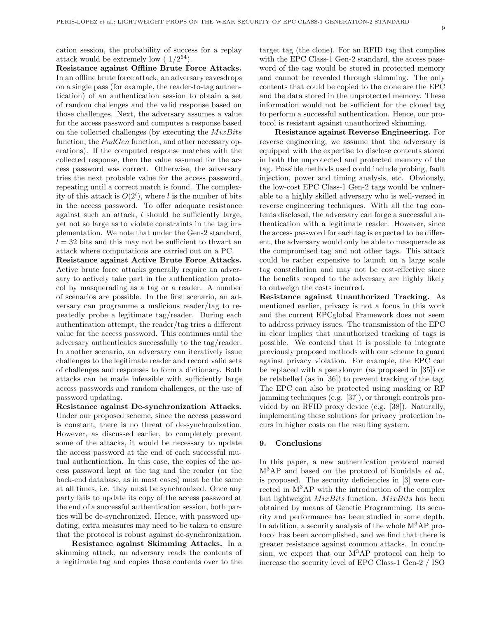cation session, the probability of success for a replay attack would be extremely low  $(1/2^{64})$ .

Resistance against Offline Brute Force Attacks. In an offline brute force attack, an adversary eavesdrops on a single pass (for example, the reader-to-tag authentication) of an authentication session to obtain a set of random challenges and the valid response based on those challenges. Next, the adversary assumes a value for the access password and computes a response based on the collected challenges (by executing the  $MixBits$ function, the *PadGen* function, and other necessary operations). If the computed response matches with the collected response, then the value assumed for the access password was correct. Otherwise, the adversary tries the next probable value for the access password, repeating until a correct match is found. The complexity of this attack is  $O(2<sup>l</sup>)$ , where l is the number of bits in the access password. To offer adequate resistance against such an attack,  $l$  should be sufficiently large, yet not so large as to violate constraints in the tag implementation. We note that under the Gen-2 standard,  $l = 32$  bits and this may not be sufficient to thwart an attack where computations are carried out on a PC.

Resistance against Active Brute Force Attacks. Active brute force attacks generally require an adversary to actively take part in the authentication protocol by masquerading as a tag or a reader. A number of scenarios are possible. In the first scenario, an adversary can programme a malicious reader/tag to repeatedly probe a legitimate tag/reader. During each authentication attempt, the reader/tag tries a different value for the access password. This continues until the adversary authenticates successfully to the tag/reader. In another scenario, an adversary can iteratively issue challenges to the legitimate reader and record valid sets of challenges and responses to form a dictionary. Both attacks can be made infeasible with sufficiently large access passwords and random challenges, or the use of password updating.

Resistance against De-synchronization Attacks. Under our proposed scheme, since the access password is constant, there is no threat of de-synchronization. However, as discussed earlier, to completely prevent some of the attacks, it would be necessary to update the access password at the end of each successful mutual authentication. In this case, the copies of the access password kept at the tag and the reader (or the back-end database, as in most cases) must be the same at all times, i.e. they must be synchronized. Once any party fails to update its copy of the access password at the end of a successful authentication session, both parties will be de-synchronized. Hence, with password updating, extra measures may need to be taken to ensure that the protocol is robust against de-synchronization.

Resistance against Skimming Attacks. In a skimming attack, an adversary reads the contents of a legitimate tag and copies those contents over to the target tag (the clone). For an RFID tag that complies with the EPC Class-1 Gen-2 standard, the access password of the tag would be stored in protected memory and cannot be revealed through skimming. The only contents that could be copied to the clone are the EPC and the data stored in the unprotected memory. These information would not be sufficient for the cloned tag to perform a successful authentication. Hence, our protocol is resistant against unauthorized skimming.

Resistance against Reverse Engineering. For reverse engineering, we assume that the adversary is equipped with the expertise to disclose contents stored in both the unprotected and protected memory of the tag. Possible methods used could include probing, fault injection, power and timing analysis, etc. Obviously, the low-cost EPC Class-1 Gen-2 tags would be vulnerable to a highly skilled adversary who is well-versed in reverse engineering techniques. With all the tag contents disclosed, the adversary can forge a successful authentication with a legitimate reader. However, since the access password for each tag is expected to be different, the adversary would only be able to masquerade as the compromised tag and not other tags. This attack could be rather expensive to launch on a large scale tag constellation and may not be cost-effective since the benefits reaped to the adversary are highly likely to outweigh the costs incurred.

Resistance against Unauthorized Tracking. As mentioned earlier, privacy is not a focus in this work and the current EPCglobal Framework does not seem to address privacy issues. The transmission of the EPC in clear implies that unauthorized tracking of tags is possible. We contend that it is possible to integrate previously proposed methods with our scheme to guard against privacy violation. For example, the EPC can be replaced with a pseudonym (as proposed in [35]) or be relabelled (as in [36]) to prevent tracking of the tag. The EPC can also be protected using masking or RF jamming techniques (e.g. [37]), or through controls provided by an RFID proxy device (e.g. [38]). Naturally, implementing these solutions for privacy protection incurs in higher costs on the resulting system.

#### 9. Conclusions

In this paper, a new authentication protocol named M3AP and based on the protocol of Konidala *et al.*, is proposed. The security deficiencies in [3] were corrected in  $M^3AP$  with the introduction of the complex but lightweight MixBits function. MixBits has been obtained by means of Genetic Programming. Its security and performance has been studied in some depth. In addition, a security analysis of the whole  $M<sup>3</sup>AP$  protocol has been accomplished, and we find that there is greater resistance against common attacks. In conclusion, we expect that our  $M^3AP$  protocol can help to increase the security level of EPC Class-1 Gen-2 / ISO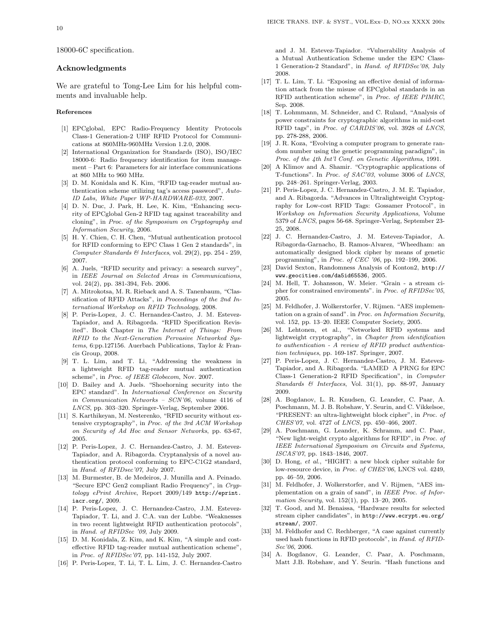18000-6C specification.

#### Acknowledgments

We are grateful to Tong-Lee Lim for his helpful comments and invaluable help.

#### References

- [1] EPCglobal, EPC Radio-Frequency Identity Protocols Class-1 Generation-2 UHF RFID Protocol for Communications at 860MHz-960MHz Version 1.2.0, 2008.
- [2] International Organization for Standards (ISO), ISO/IEC 18000-6: Radio frequency identification for item management – Part 6: Parameters for air interface communications at 860 MHz to 960 MHz.
- [3] D. M. Konidala and K. Kim, "RFID tag-reader mutual authentication scheme utilizing tag's access password", *Auto-ID Labs, White Paper WP-HARDWARE-033*, 2007.
- [4] D. N. Duc, J. Park, H. Lee, K. Kim, "Enhancing security of EPCglobal Gen-2 RFID tag against traceability and cloning", in *Proc. of the Symposium on Cryptography and Information Security*, 2006.
- [5] H. Y. Chien, C. H. Chen, "Mutual authentication protocol for RFID conforming to EPC Class 1 Gen 2 standards", in *Computer Standards & Interfaces*, vol. 29(2), pp. 254 - 259, 2007.
- [6] A. Juels, "RFID security and privacy: a sesearch survey", in *IEEE Journal on Selected Areas in Communications*, vol. 24(2), pp. 381-394, Feb. 2006.
- [7] A. Mitrokotsa, M. R. Rieback and A. S. Tanenbaum, "Classification of RFID Attacks", in *Proceedings of the 2nd International Workshop on RFID Technology*, 2008.
- [8] P. Peris-Lopez, J. C. Hernandez-Castro, J. M. Estevez-Tapiador, and A. Ribagorda. "RFID Specification Revisited". Book Chapter in *The Internet of Things: From RFID to the Next-Generation Pervasive Networked Systems*, 6:pp.127156. Auerbach Publications, Taylor & Francis Group, 2008.
- [9] T. L. Lim, and T. Li, "Addressing the weakness in a lightweight RFID tag-reader mutual authentication scheme", in *Proc. of IEEE Globecom*, Nov. 2007.
- [10] D. Bailey and A. Juels. "Shoehorning security into the EPC standard". In *International Conference on Security in Communication Networks – SCN'06*, volume 4116 of *LNCS*, pp. 303–320. Springer-Verlag, September 2006.
- [11] S. Karthikeyan, M. Nesterenko, "RFID security without extensive cryptography", in *Proc. of the 3rd ACM Workshop on Security of Ad Hoc and Sensor Networks*, pp. 63-67, 2005.
- [12] P. Peris-Lopez, J. C. Hernandez-Castro, J. M. Estevez-Tapiador, and A. Ribagorda. Cryptanalysis of a novel authentication protocol conforming to EPC-C1G2 standard, in *Hand. of RFIDsec'07*, July 2007.
- [13] M. Burmester, B. de Medeiros, J. Munilla and A. Peinado. "Secure EPC Gen2 compliant Radio Frequency", in *Cryptology ePrint Archive*, Report 2009/149 http://eprint. iacr.org/, 2009.
- [14] P. Peris-Lopez, J. C. Hernandez-Castro, J.M. Estevez-Tapiador, T. Li, and J. C.A. van der Lubbe. "Weaknesses in two recent lightweight RFID authentication protocols", in *Hand. of RFIDSec '09*, July 2009.
- [15] D. M. Konidala, Z. Kim, and K. Kim, "A simple and costeffective RFID tag-reader mutual authentication scheme", in *Proc. of RFIDSec'07*, pp. 141-152, July 2007.
- [16] P. Peris-Lopez, T. Li, T. L. Lim, J. C. Hernandez-Castro

and J. M. Estevez-Tapiador. "Vulnerability Analysis of a Mutual Authentication Scheme under the EPC Class-1 Generation-2 Standard", in *Hand. of RFIDSec'08*, July 2008.

- [17] T. L. Lim, T. Li. "Exposing an effective denial of information attack from the misuse of EPCglobal standards in an RFID authentication scheme", in *Proc. of IEEE PIMRC*, Sep. 2008.
- [18] T. Lohmmann, M. Schneider, and C. Ruland, "Analysis of power constraints for cryptographic algorithms in mid-cost RFID tags", in *Proc. of CARDIS'06*, vol. 3928 of *LNCS*, pp. 278-288, 2006.
- [19] J. R. Koza, "Evolving a computer program to generate random number using the genetic programming paradigm", in *Proc. of the 4th Int'l Conf. on Genetic Algorithms*, 1991.
- [20] A Klimov and A. Shamir. "Cryptographic applications of T-functions". In *Proc. of SAC'03*, volume 3006 of *LNCS*, pp. 248–261. Springer-Verlag, 2003.
- [21] P. Peris-Lopez, J. C. Hernandez-Castro, J. M. E. Tapiador, and A. Ribagorda. "Advances in Ultralightweight Cryptography for Low-cost RFID Tags: Gossamer Protocol", in *Workshop on Information Security Applications*, Volume 5379 of *LNCS*, pages 56-68. Springer-Verlag, September 23- 25, 2008.
- [22] J. C. Hernandez-Castro, J. M. Estevez-Tapiador, A. Ribagorda-Garnacho, B. Ramos-Alvarez, "Wheedham: an automatically designed block cipher by means of genetic programming", in *Proc. of CEC '06*, pp. 192–199, 2006.
- [23] David Sexton, Randomness Analysis of Konton2, http:// www.geocities.com/da5id65536, 2005.
- [24] M. Hell, T. Johansson, W. Meier. "Grain a stream cipher for constrained enviroments". in *Proc. of RFIDSec'05*, 2005.
- [25] M. Feldhofer, J. Wolkerstorfer, V. Rijmen. "AES implementation on a grain of sand". in *Proc. on Information Security*, vol. 152, pp. 13–20. IEEE Computer Society, 2005.
- [26] M. Lehtonen, et al., "Networked RFID systems and lightweight cryptography", in *Chapter from identification to authentication - A review of RFID product authentication techniques*, pp. 169-187. Springer, 2007.
- [27] P. Peris-Lopez, J. C. Hernandez-Castro, J. M. Estevez-Tapiador, and A. Ribagorda. "LAMED A PRNG for EPC Class-1 Generation-2 RFID Specification", in *Computer Standards & Interfaces*, Vol. 31(1), pp. 88-97, January 2009.
- [28] A. Bogdanov, L. R. Knudsen, G. Leander, C. Paar, A. Poschmann, M. J. B. Robshaw, Y. Seurin, and C. Vikkelsoe, "PRESENT: an ultra-lightweight block cipher", in *Proc. of CHES'07*, vol. 4727 of *LNCS*, pp. 450–466, 2007.
- [29] A. Poschmann, G. Leander, K. Schramm, and C. Paar, "New light-weight crypto algorithms for RFID", in *Proc. of IEEE International Symposium on Circuits and Systems, ISCAS'07*, pp. 1843–1846, 2007.
- [30] D. Hong, *et al.*, "HIGHT: a new block cipher suitable for low-resource device, in *Proc. of CHES'06*, LNCS vol. 4249, pp. 46–59, 2006.
- [31] M. Feldhofer, J. Wolkerstorfer, and V. Rijmen, "AES implementation on a grain of sand", in *IEEE Proc. of Information Security*, vol. 152(1), pp. 13–20, 2005.
- [32] T. Good, and M. Benaissa, "Hardware results for selected stream cipher candidates", in http://www.ecrypt.eu.org/ stream/, 2007.
- [33] M. Feldhofer and C. Rechberger, "A case against currently used hash functions in RFID protocols", in *Hand. of RFID-Sec'06*, 2006.
- [34] A. Bogdanov, G. Leander, C. Paar, A. Poschmann, Matt J.B. Robshaw, and Y. Seurin. "Hash functions and